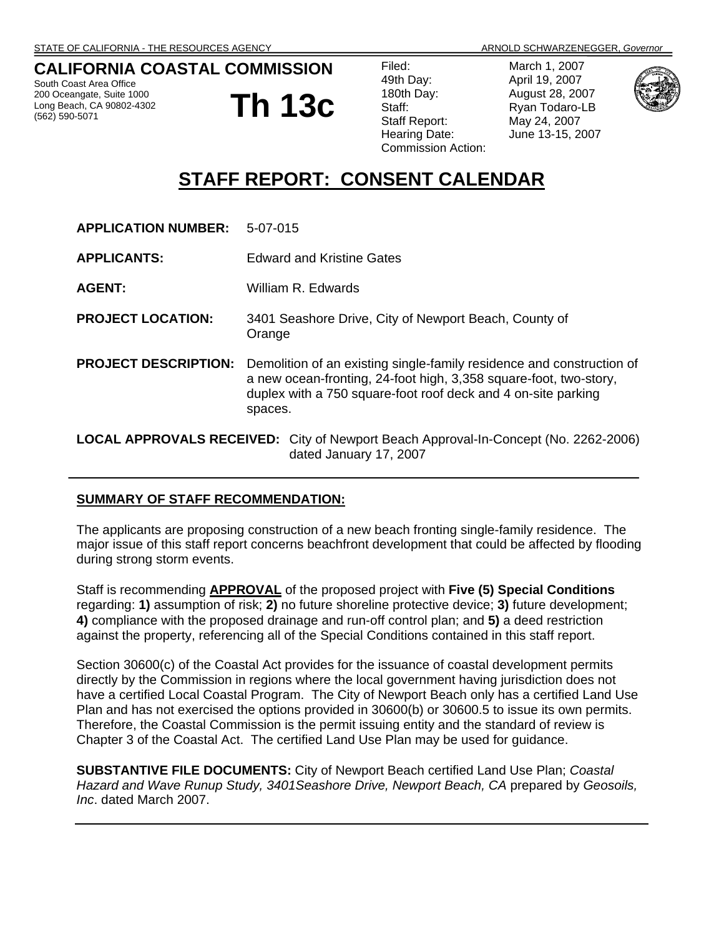# **CALIFORNIA COASTAL COMMISSION**

South Coast Area Office 200 Oceangate, Suite 1000 Long Beach, CA 90802-4302 (562) 590-5071

**Th 13c**

| Filed:                    |
|---------------------------|
| 49th Day:                 |
| 180th Day:                |
| Staff:                    |
| <b>Staff Report:</b>      |
| Hearing Date:             |
| <b>Commission Action:</b> |

March 1, 2007 April 19, 2007 August 28, 2007 Ryan Todaro-LB May 24, 2007 June 13-15, 2007



# **STAFF REPORT: CONSENT CALENDAR**

| <b>APPLICATION NUMBER:</b>  | 5-07-015                                                                                                                                                                                                               |
|-----------------------------|------------------------------------------------------------------------------------------------------------------------------------------------------------------------------------------------------------------------|
| <b>APPLICANTS:</b>          | <b>Edward and Kristine Gates</b>                                                                                                                                                                                       |
| <b>AGENT:</b>               | William R. Edwards                                                                                                                                                                                                     |
| <b>PROJECT LOCATION:</b>    | 3401 Seashore Drive, City of Newport Beach, County of<br>Orange                                                                                                                                                        |
| <b>PROJECT DESCRIPTION:</b> | Demolition of an existing single-family residence and construction of<br>a new ocean-fronting, 24-foot high, 3,358 square-foot, two-story,<br>duplex with a 750 square-foot roof deck and 4 on-site parking<br>spaces. |
|                             | <b>LOCAL APPROVALS RECEIVED:</b> City of Newport Beach Approval-In-Concept (No. 2262-2006)<br>dated January 17, 2007                                                                                                   |

#### **SUMMARY OF STAFF RECOMMENDATION:**

The applicants are proposing construction of a new beach fronting single-family residence. The major issue of this staff report concerns beachfront development that could be affected by flooding during strong storm events.

Staff is recommending **APPROVAL** of the proposed project with **Five (5) Special Conditions**  regarding: **1)** assumption of risk; **2)** no future shoreline protective device; **3)** future development; **4)** compliance with the proposed drainage and run-off control plan; and **5)** a deed restriction against the property, referencing all of the Special Conditions contained in this staff report.

Section 30600(c) of the Coastal Act provides for the issuance of coastal development permits directly by the Commission in regions where the local government having jurisdiction does not have a certified Local Coastal Program. The City of Newport Beach only has a certified Land Use Plan and has not exercised the options provided in 30600(b) or 30600.5 to issue its own permits. Therefore, the Coastal Commission is the permit issuing entity and the standard of review is Chapter 3 of the Coastal Act. The certified Land Use Plan may be used for guidance.

**SUBSTANTIVE FILE DOCUMENTS:** City of Newport Beach certified Land Use Plan; *Coastal Hazard and Wave Runup Study, 3401Seashore Drive, Newport Beach, CA* prepared by *Geosoils, Inc*. dated March 2007.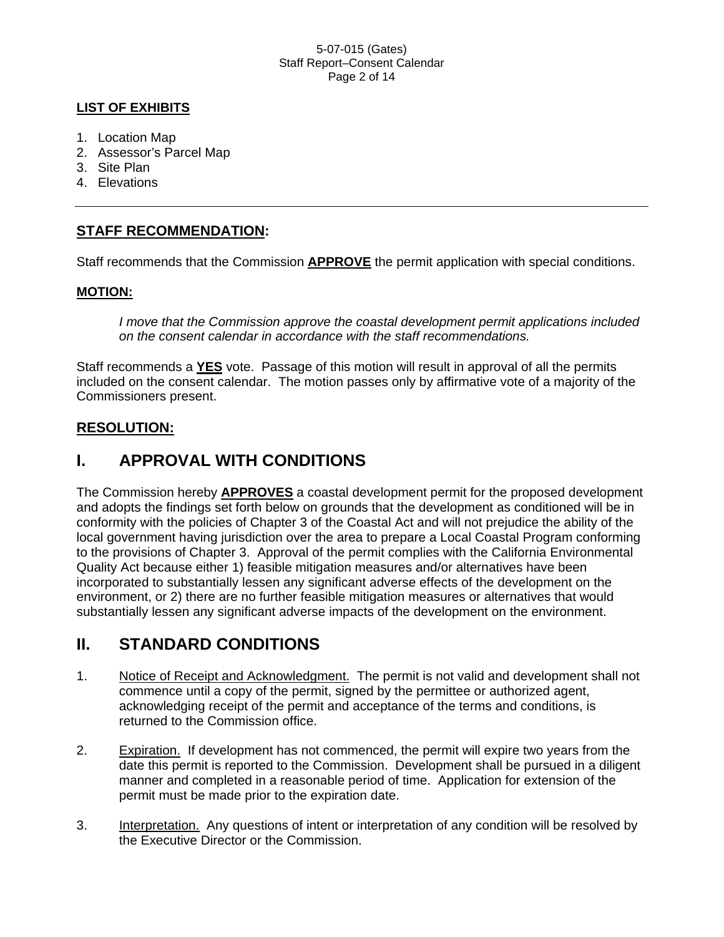#### 5-07-015 (Gates) Staff Report–Consent Calendar Page 2 of 14

### **LIST OF EXHIBITS**

- 1. Location Map
- 2. Assessor's Parcel Map
- 3. Site Plan
- 4. Elevations

### **STAFF RECOMMENDATION:**

Staff recommends that the Commission **APPROVE** the permit application with special conditions.

### **MOTION:**

*I move that the Commission approve the coastal development permit applications included on the consent calendar in accordance with the staff recommendations.*

Staff recommends a **YES** vote. Passage of this motion will result in approval of all the permits included on the consent calendar. The motion passes only by affirmative vote of a majority of the Commissioners present.

### **RESOLUTION:**

# **I. APPROVAL WITH CONDITIONS**

The Commission hereby **APPROVES** a coastal development permit for the proposed development and adopts the findings set forth below on grounds that the development as conditioned will be in conformity with the policies of Chapter 3 of the Coastal Act and will not prejudice the ability of the local government having jurisdiction over the area to prepare a Local Coastal Program conforming to the provisions of Chapter 3. Approval of the permit complies with the California Environmental Quality Act because either 1) feasible mitigation measures and/or alternatives have been incorporated to substantially lessen any significant adverse effects of the development on the environment, or 2) there are no further feasible mitigation measures or alternatives that would substantially lessen any significant adverse impacts of the development on the environment.

# **II. STANDARD CONDITIONS**

- 1. Notice of Receipt and Acknowledgment. The permit is not valid and development shall not commence until a copy of the permit, signed by the permittee or authorized agent, acknowledging receipt of the permit and acceptance of the terms and conditions, is returned to the Commission office.
- 2. Expiration. If development has not commenced, the permit will expire two years from the date this permit is reported to the Commission. Development shall be pursued in a diligent manner and completed in a reasonable period of time. Application for extension of the permit must be made prior to the expiration date.
- 3. Interpretation. Any questions of intent or interpretation of any condition will be resolved by the Executive Director or the Commission.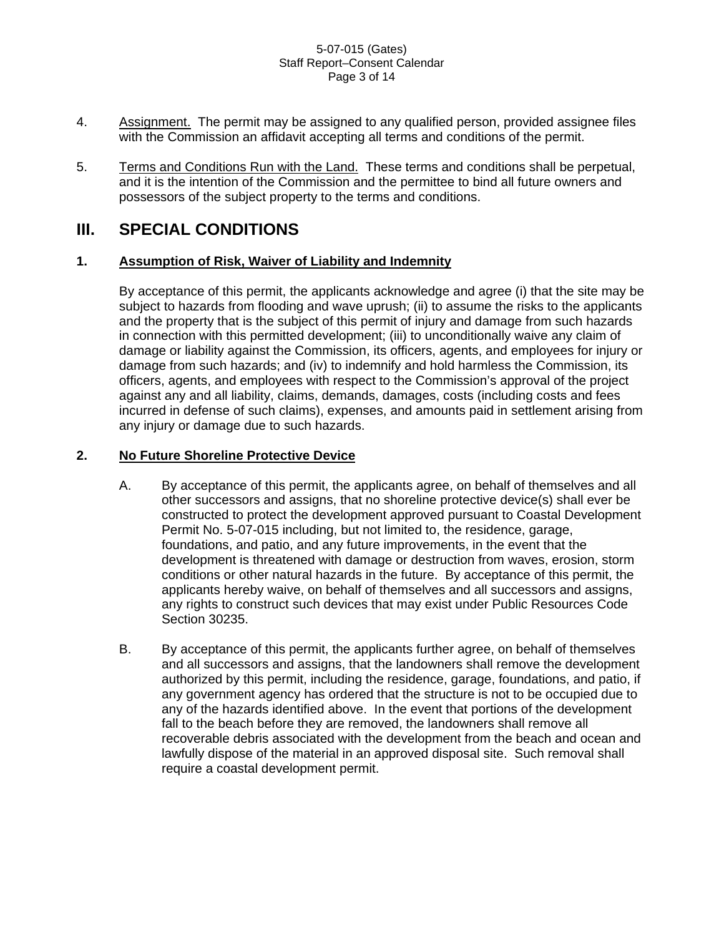#### 5-07-015 (Gates) Staff Report–Consent Calendar Page 3 of 14

- 4. Assignment. The permit may be assigned to any qualified person, provided assignee files with the Commission an affidavit accepting all terms and conditions of the permit.
- 5. Terms and Conditions Run with the Land. These terms and conditions shall be perpetual, and it is the intention of the Commission and the permittee to bind all future owners and possessors of the subject property to the terms and conditions.

# **III. SPECIAL CONDITIONS**

### **1. Assumption of Risk, Waiver of Liability and Indemnity**

 By acceptance of this permit, the applicants acknowledge and agree (i) that the site may be subject to hazards from flooding and wave uprush; (ii) to assume the risks to the applicants and the property that is the subject of this permit of injury and damage from such hazards in connection with this permitted development; (iii) to unconditionally waive any claim of damage or liability against the Commission, its officers, agents, and employees for injury or damage from such hazards; and (iv) to indemnify and hold harmless the Commission, its officers, agents, and employees with respect to the Commission's approval of the project against any and all liability, claims, demands, damages, costs (including costs and fees incurred in defense of such claims), expenses, and amounts paid in settlement arising from any injury or damage due to such hazards.

### **2. No Future Shoreline Protective Device**

- A. By acceptance of this permit, the applicants agree, on behalf of themselves and all other successors and assigns, that no shoreline protective device(s) shall ever be constructed to protect the development approved pursuant to Coastal Development Permit No. 5-07-015 including, but not limited to, the residence, garage, foundations, and patio, and any future improvements, in the event that the development is threatened with damage or destruction from waves, erosion, storm conditions or other natural hazards in the future. By acceptance of this permit, the applicants hereby waive, on behalf of themselves and all successors and assigns, any rights to construct such devices that may exist under Public Resources Code Section 30235.
- B. By acceptance of this permit, the applicants further agree, on behalf of themselves and all successors and assigns, that the landowners shall remove the development authorized by this permit, including the residence, garage, foundations, and patio, if any government agency has ordered that the structure is not to be occupied due to any of the hazards identified above. In the event that portions of the development fall to the beach before they are removed, the landowners shall remove all recoverable debris associated with the development from the beach and ocean and lawfully dispose of the material in an approved disposal site. Such removal shall require a coastal development permit.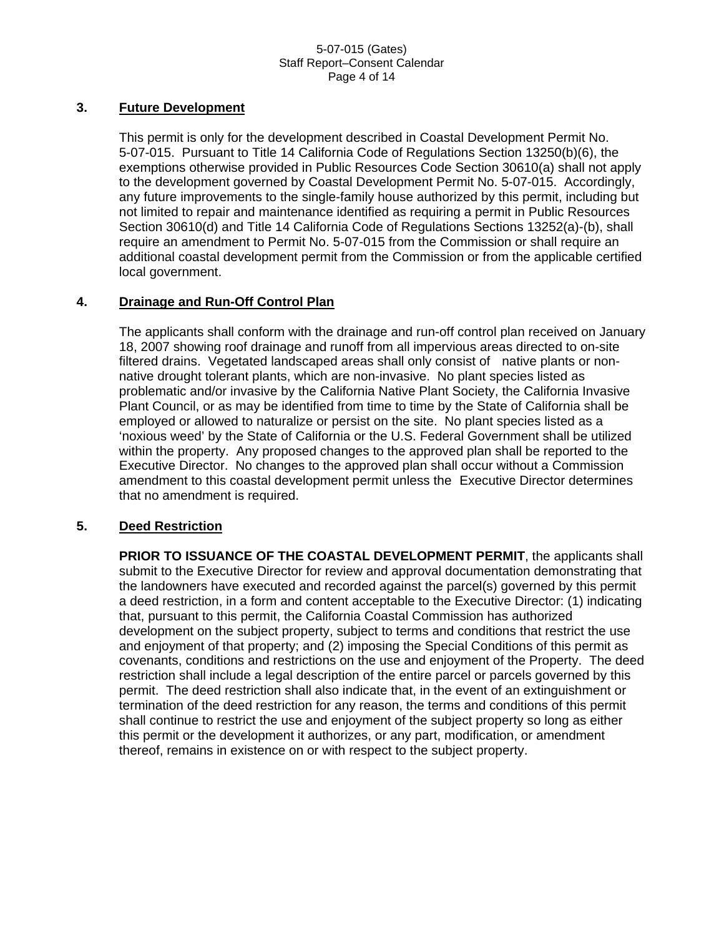#### 5-07-015 (Gates) Staff Report–Consent Calendar Page 4 of 14

### **3. Future Development**

 This permit is only for the development described in Coastal Development Permit No. 5-07-015. Pursuant to Title 14 California Code of Regulations Section 13250(b)(6), the exemptions otherwise provided in Public Resources Code Section 30610(a) shall not apply to the development governed by Coastal Development Permit No. 5-07-015. Accordingly, any future improvements to the single-family house authorized by this permit, including but not limited to repair and maintenance identified as requiring a permit in Public Resources Section 30610(d) and Title 14 California Code of Regulations Sections 13252(a)-(b), shall require an amendment to Permit No. 5-07-015 from the Commission or shall require an additional coastal development permit from the Commission or from the applicable certified local government.

### **4. Drainage and Run-Off Control Plan**

 The applicants shall conform with the drainage and run-off control plan received on January 18, 2007 showing roof drainage and runoff from all impervious areas directed to on-site filtered drains. Vegetated landscaped areas shall only consist of native plants or nonnative drought tolerant plants, which are non-invasive. No plant species listed as problematic and/or invasive by the California Native Plant Society, the California Invasive Plant Council, or as may be identified from time to time by the State of California shall be employed or allowed to naturalize or persist on the site. No plant species listed as a 'noxious weed' by the State of California or the U.S. Federal Government shall be utilized within the property. Any proposed changes to the approved plan shall be reported to the Executive Director. No changes to the approved plan shall occur without a Commission amendment to this coastal development permit unless the Executive Director determines that no amendment is required.

### **5. Deed Restriction**

 **PRIOR TO ISSUANCE OF THE COASTAL DEVELOPMENT PERMIT**, the applicants shall submit to the Executive Director for review and approval documentation demonstrating that the landowners have executed and recorded against the parcel(s) governed by this permit a deed restriction, in a form and content acceptable to the Executive Director: (1) indicating that, pursuant to this permit, the California Coastal Commission has authorized development on the subject property, subject to terms and conditions that restrict the use and enjoyment of that property; and (2) imposing the Special Conditions of this permit as covenants, conditions and restrictions on the use and enjoyment of the Property. The deed restriction shall include a legal description of the entire parcel or parcels governed by this permit. The deed restriction shall also indicate that, in the event of an extinguishment or termination of the deed restriction for any reason, the terms and conditions of this permit shall continue to restrict the use and enjoyment of the subject property so long as either this permit or the development it authorizes, or any part, modification, or amendment thereof, remains in existence on or with respect to the subject property.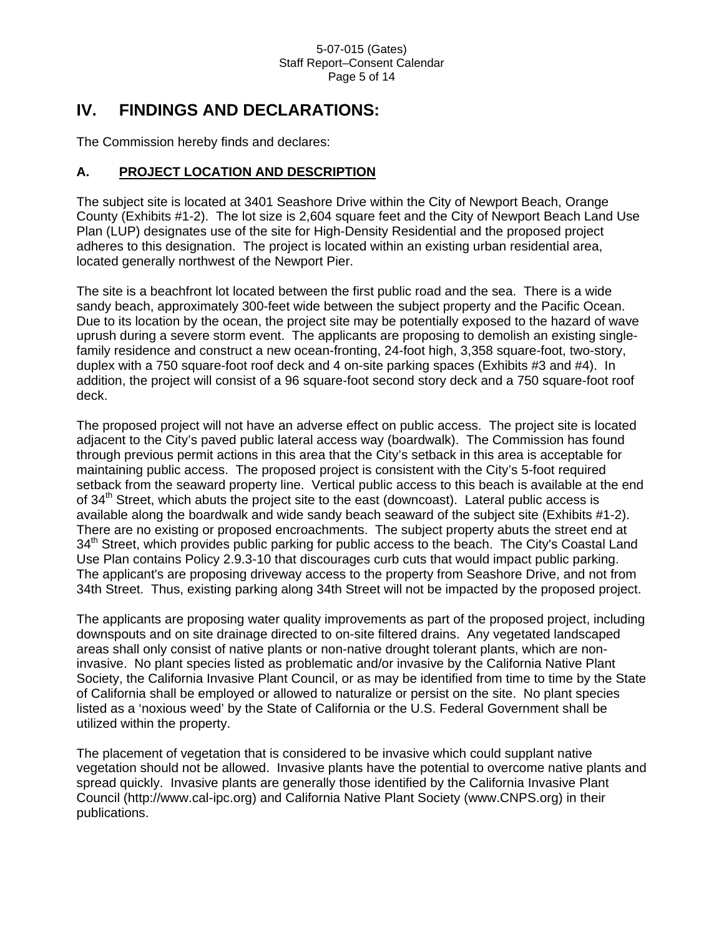# **IV. FINDINGS AND DECLARATIONS:**

The Commission hereby finds and declares:

### **A. PROJECT LOCATION AND DESCRIPTION**

The subject site is located at 3401 Seashore Drive within the City of Newport Beach, Orange County (Exhibits #1-2). The lot size is 2,604 square feet and the City of Newport Beach Land Use Plan (LUP) designates use of the site for High-Density Residential and the proposed project adheres to this designation. The project is located within an existing urban residential area, located generally northwest of the Newport Pier.

The site is a beachfront lot located between the first public road and the sea. There is a wide sandy beach, approximately 300-feet wide between the subject property and the Pacific Ocean. Due to its location by the ocean, the project site may be potentially exposed to the hazard of wave uprush during a severe storm event. The applicants are proposing to demolish an existing singlefamily residence and construct a new ocean-fronting, 24-foot high, 3,358 square-foot, two-story, duplex with a 750 square-foot roof deck and 4 on-site parking spaces (Exhibits #3 and #4). In addition, the project will consist of a 96 square-foot second story deck and a 750 square-foot roof deck.

The proposed project will not have an adverse effect on public access. The project site is located adjacent to the City's paved public lateral access way (boardwalk). The Commission has found through previous permit actions in this area that the City's setback in this area is acceptable for maintaining public access. The proposed project is consistent with the City's 5-foot required setback from the seaward property line. Vertical public access to this beach is available at the end of  $34<sup>th</sup>$  Street, which abuts the project site to the east (downcoast). Lateral public access is available along the boardwalk and wide sandy beach seaward of the subject site (Exhibits #1-2). There are no existing or proposed encroachments. The subject property abuts the street end at 34<sup>th</sup> Street, which provides public parking for public access to the beach. The City's Coastal Land Use Plan contains Policy 2.9.3-10 that discourages curb cuts that would impact public parking. The applicant's are proposing driveway access to the property from Seashore Drive, and not from 34th Street. Thus, existing parking along 34th Street will not be impacted by the proposed project.

The applicants are proposing water quality improvements as part of the proposed project, including downspouts and on site drainage directed to on-site filtered drains. Any vegetated landscaped areas shall only consist of native plants or non-native drought tolerant plants, which are noninvasive. No plant species listed as problematic and/or invasive by the California Native Plant Society, the California Invasive Plant Council, or as may be identified from time to time by the State of California shall be employed or allowed to naturalize or persist on the site. No plant species listed as a 'noxious weed' by the State of California or the U.S. Federal Government shall be utilized within the property.

The placement of vegetation that is considered to be invasive which could supplant native vegetation should not be allowed. Invasive plants have the potential to overcome native plants and spread quickly. Invasive plants are generally those identified by the California Invasive Plant Council (http://www.cal-ipc.org) and California Native Plant Society (www.CNPS.org) in their publications.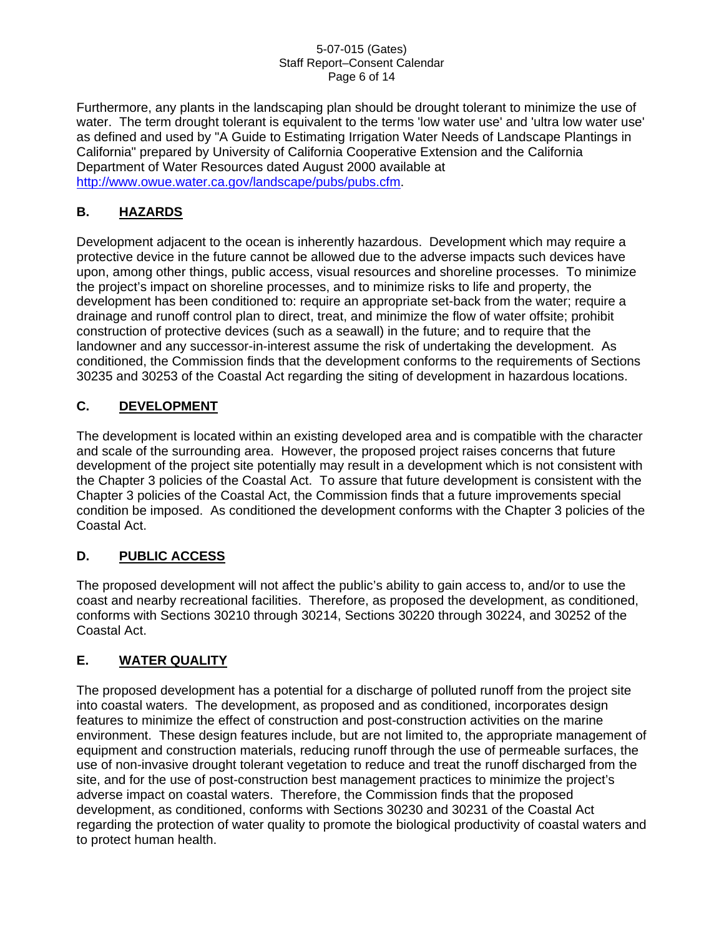#### 5-07-015 (Gates) Staff Report–Consent Calendar Page 6 of 14

Furthermore, any plants in the landscaping plan should be drought tolerant to minimize the use of water. The term drought tolerant is equivalent to the terms 'low water use' and 'ultra low water use' as defined and used by "A Guide to Estimating Irrigation Water Needs of Landscape Plantings in California" prepared by University of California Cooperative Extension and the California Department of Water Resources dated August 2000 available at [http://www.owue.water.ca.gov/landscape/pubs/pubs.cfm.](http://www.owue.water.ca.gov/landscape/pubs/pubs.cfm)

# **B. HAZARDS**

Development adjacent to the ocean is inherently hazardous. Development which may require a protective device in the future cannot be allowed due to the adverse impacts such devices have upon, among other things, public access, visual resources and shoreline processes. To minimize the project's impact on shoreline processes, and to minimize risks to life and property, the development has been conditioned to: require an appropriate set-back from the water; require a drainage and runoff control plan to direct, treat, and minimize the flow of water offsite; prohibit construction of protective devices (such as a seawall) in the future; and to require that the landowner and any successor-in-interest assume the risk of undertaking the development. As conditioned, the Commission finds that the development conforms to the requirements of Sections 30235 and 30253 of the Coastal Act regarding the siting of development in hazardous locations.

# **C. DEVELOPMENT**

The development is located within an existing developed area and is compatible with the character and scale of the surrounding area. However, the proposed project raises concerns that future development of the project site potentially may result in a development which is not consistent with the Chapter 3 policies of the Coastal Act. To assure that future development is consistent with the Chapter 3 policies of the Coastal Act, the Commission finds that a future improvements special condition be imposed. As conditioned the development conforms with the Chapter 3 policies of the Coastal Act.

# **D. PUBLIC ACCESS**

The proposed development will not affect the public's ability to gain access to, and/or to use the coast and nearby recreational facilities. Therefore, as proposed the development, as conditioned, conforms with Sections 30210 through 30214, Sections 30220 through 30224, and 30252 of the Coastal Act.

### **E. WATER QUALITY**

The proposed development has a potential for a discharge of polluted runoff from the project site into coastal waters. The development, as proposed and as conditioned, incorporates design features to minimize the effect of construction and post-construction activities on the marine environment. These design features include, but are not limited to, the appropriate management of equipment and construction materials, reducing runoff through the use of permeable surfaces, the use of non-invasive drought tolerant vegetation to reduce and treat the runoff discharged from the site, and for the use of post-construction best management practices to minimize the project's adverse impact on coastal waters. Therefore, the Commission finds that the proposed development, as conditioned, conforms with Sections 30230 and 30231 of the Coastal Act regarding the protection of water quality to promote the biological productivity of coastal waters and to protect human health.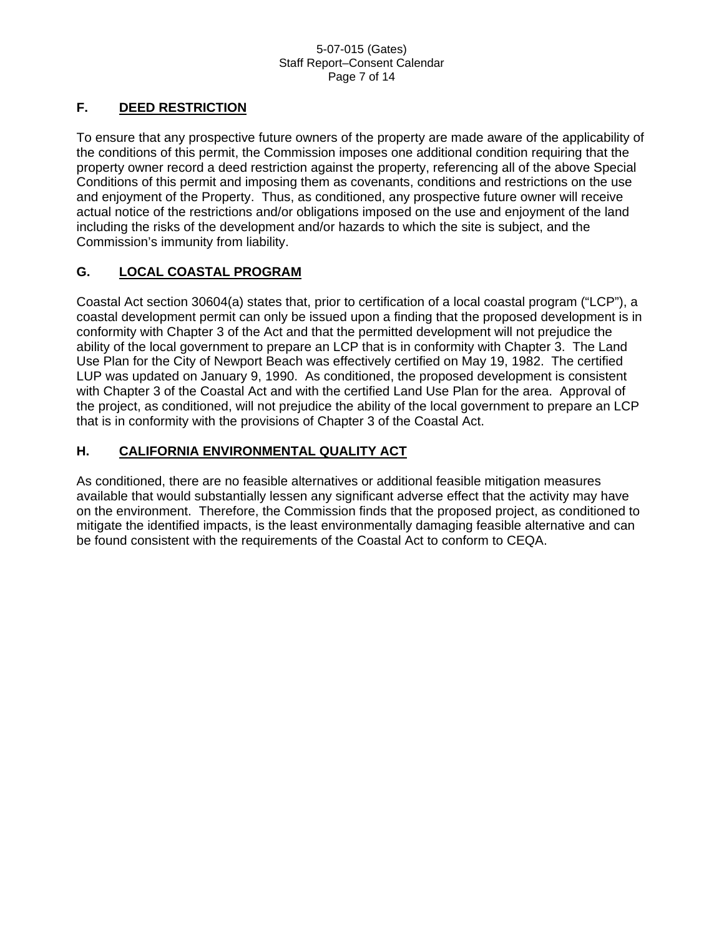#### 5-07-015 (Gates) Staff Report–Consent Calendar Page 7 of 14

### **F. DEED RESTRICTION**

To ensure that any prospective future owners of the property are made aware of the applicability of the conditions of this permit, the Commission imposes one additional condition requiring that the property owner record a deed restriction against the property, referencing all of the above Special Conditions of this permit and imposing them as covenants, conditions and restrictions on the use and enjoyment of the Property. Thus, as conditioned, any prospective future owner will receive actual notice of the restrictions and/or obligations imposed on the use and enjoyment of the land including the risks of the development and/or hazards to which the site is subject, and the Commission's immunity from liability.

### **G. LOCAL COASTAL PROGRAM**

Coastal Act section 30604(a) states that, prior to certification of a local coastal program ("LCP"), a coastal development permit can only be issued upon a finding that the proposed development is in conformity with Chapter 3 of the Act and that the permitted development will not prejudice the ability of the local government to prepare an LCP that is in conformity with Chapter 3. The Land Use Plan for the City of Newport Beach was effectively certified on May 19, 1982. The certified LUP was updated on January 9, 1990. As conditioned, the proposed development is consistent with Chapter 3 of the Coastal Act and with the certified Land Use Plan for the area. Approval of the project, as conditioned, will not prejudice the ability of the local government to prepare an LCP that is in conformity with the provisions of Chapter 3 of the Coastal Act.

### **H. CALIFORNIA ENVIRONMENTAL QUALITY ACT**

As conditioned, there are no feasible alternatives or additional feasible mitigation measures available that would substantially lessen any significant adverse effect that the activity may have on the environment. Therefore, the Commission finds that the proposed project, as conditioned to mitigate the identified impacts, is the least environmentally damaging feasible alternative and can be found consistent with the requirements of the Coastal Act to conform to CEQA.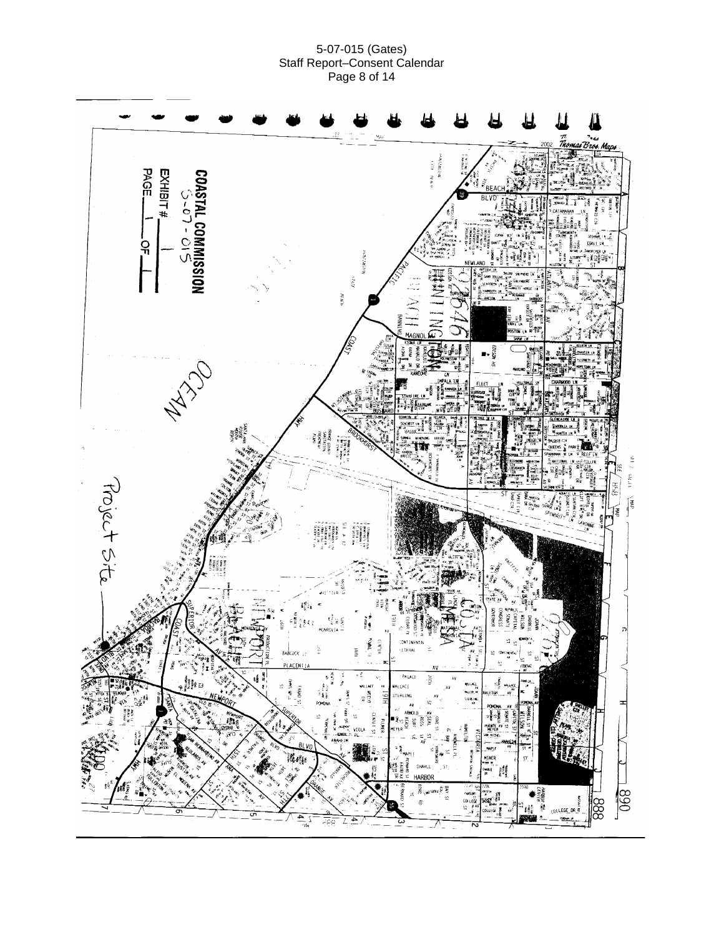#### 5-07-015 (Gates) Staff Report–Consent Calendar Page 8 of 14

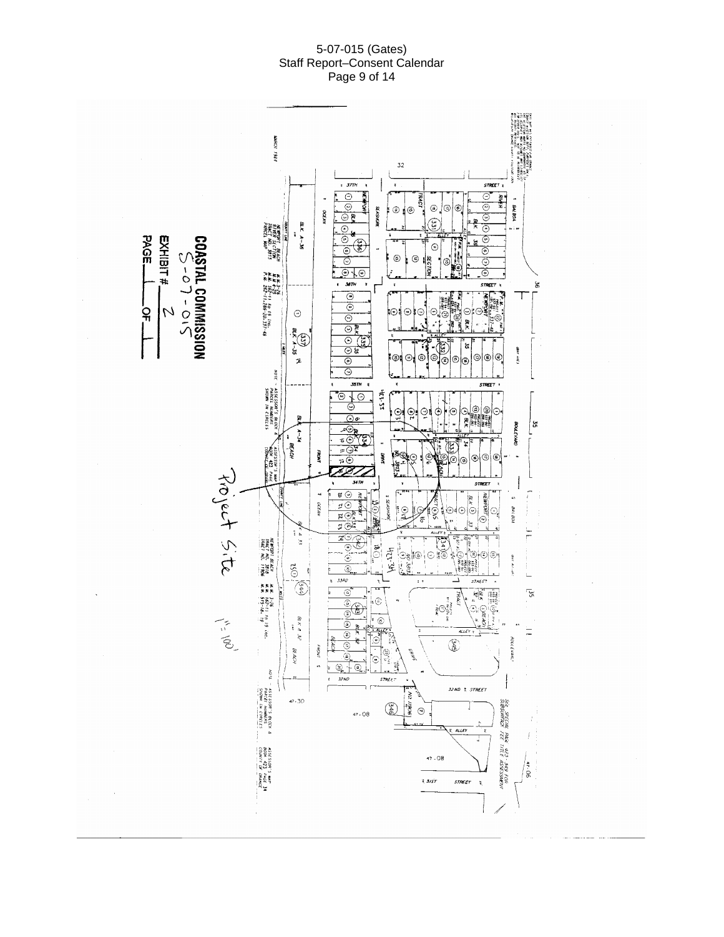#### 5-07-015 (Gates) Staff Report–Consent Calendar Page 9 of 14

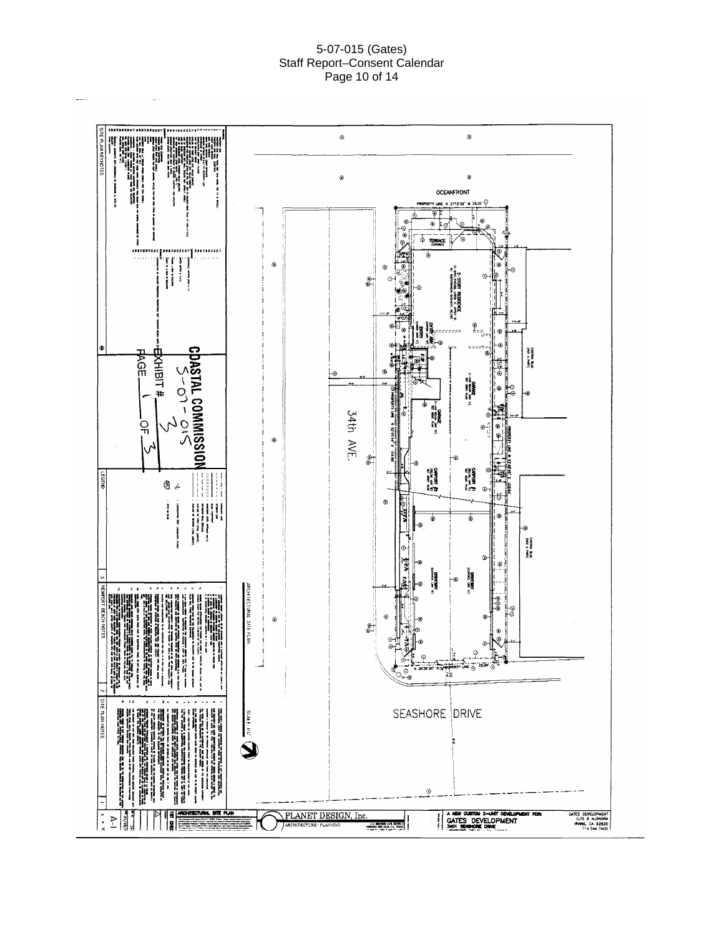#### 5-07-015 (Gates) Staff Report–Consent Calendar Page 10 of 14

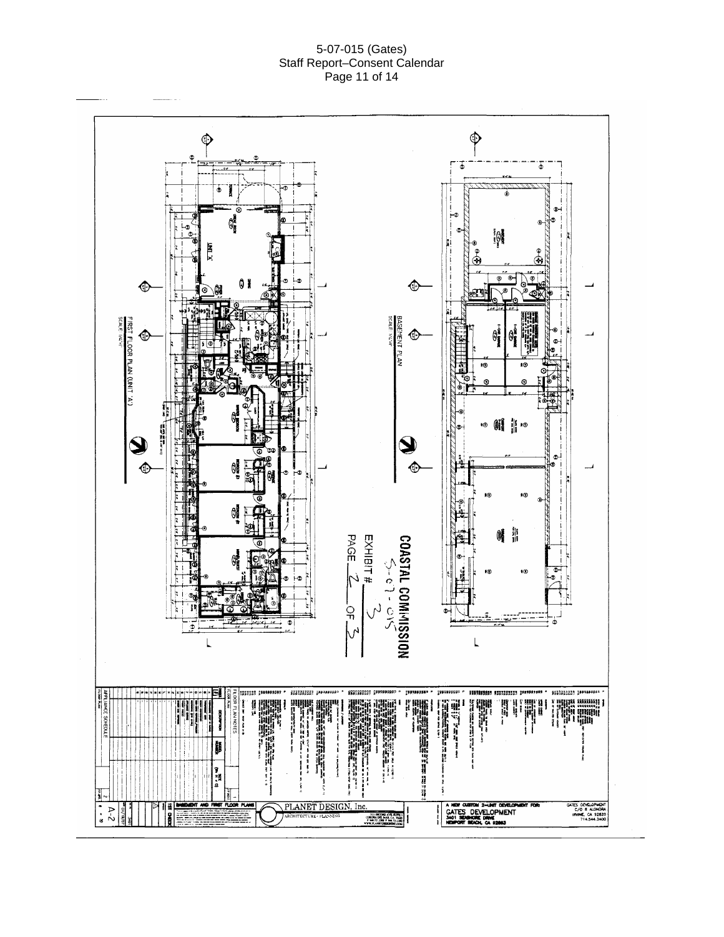#### 5-07-015 (Gates) Staff Report–Consent Calendar Page 11 of 14

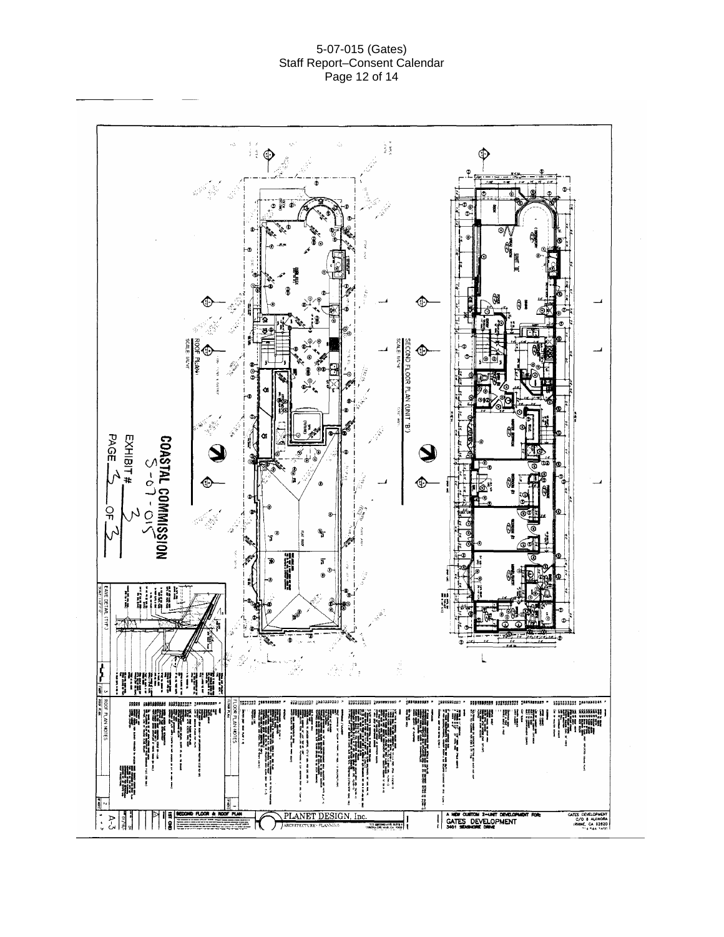#### 5-07-015 (Gates) Staff Report–Consent Calendar Page 12 of 14

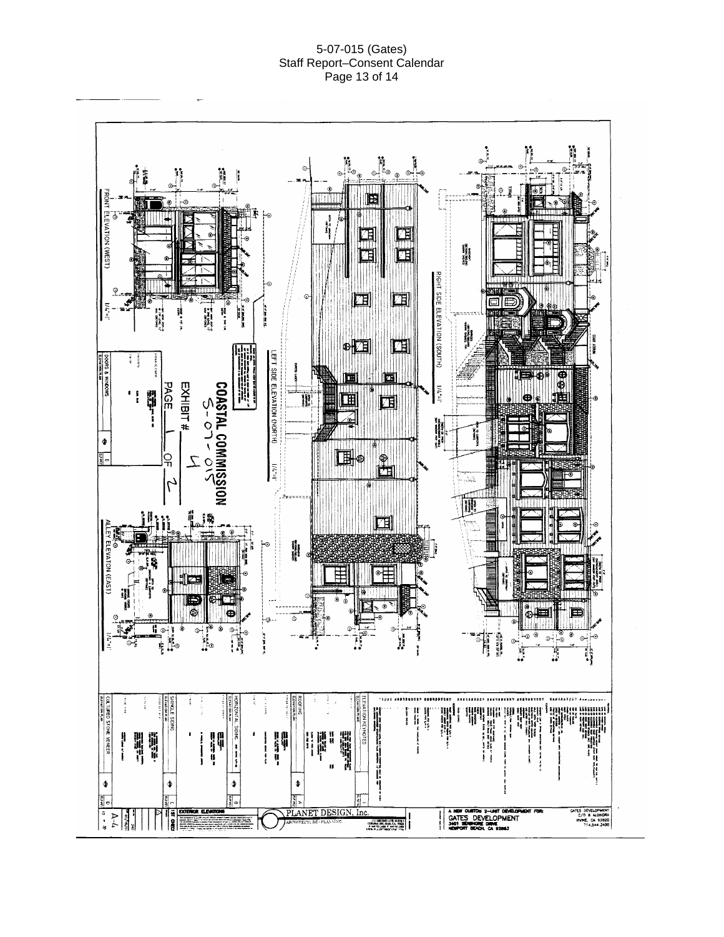#### 5-07-015 (Gates) Staff Report–Consent Calendar Page 13 of 14